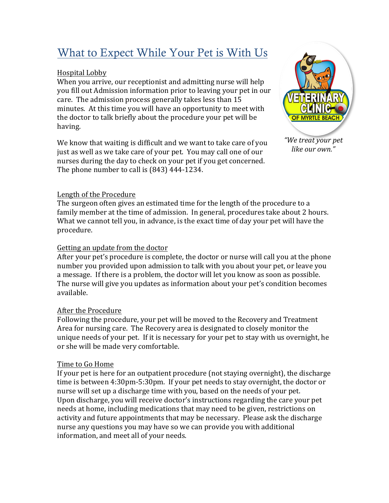## What to Expect While Your Pet is With Us

### Hospital Lobby

When you arrive, our receptionist and admitting nurse will help you fill out Admission information prior to leaving your pet in our care. The admission process generally takes less than 15 minutes. At this time you will have an opportunity to meet with the doctor to talk briefly about the procedure your pet will be having.

We know that waiting is difficult and we want to take care of you just as well as we take care of your pet. You may call one of our nurses during the day to check on your pet if you get concerned. The phone number to call is  $(843)$  444-1234.



*"We treat your pet like our own."*

#### Length of the Procedure

The surgeon often gives an estimated time for the length of the procedure to a family member at the time of admission. In general, procedures take about 2 hours. What we cannot tell you, in advance, is the exact time of day your pet will have the procedure.

### Getting an update from the doctor

After your pet's procedure is complete, the doctor or nurse will call you at the phone number you provided upon admission to talk with you about your pet, or leave you a message. If there is a problem, the doctor will let you know as soon as possible. The nurse will give you updates as information about your pet's condition becomes available.

#### After the Procedure

Following the procedure, your pet will be moved to the Recovery and Treatment Area for nursing care. The Recovery area is designated to closely monitor the unique needs of your pet. If it is necessary for your pet to stay with us overnight, he or she will be made very comfortable.

#### Time to Go Home

If your pet is here for an outpatient procedure (not staying overnight), the discharge time is between 4:30pm-5:30pm. If your pet needs to stay overnight, the doctor or nurse will set up a discharge time with you, based on the needs of your pet. Upon discharge, you will receive doctor's instructions regarding the care your pet needs at home, including medications that may need to be given, restrictions on activity and future appointments that may be necessary. Please ask the discharge nurse any questions you may have so we can provide you with additional information, and meet all of your needs.